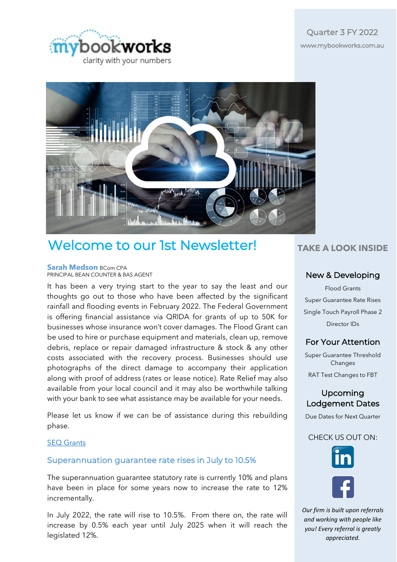



# Welcome to our 1st Newsletter!

#### **Sarah Medson** BCom CPA PRINCIPAL BEAN COUNTER & BAS AGENT

It has been a very trying start to the year to say the least and our thoughts go out to those who have been affected by the significant rainfall and flooding events in February 2022. The Federal Government is offering financial assistance via QRIDA for grants of up to 50K for businesses whose insurance won't cover damages. The Flood Grant can be used to hire or purchase equipment and materials, clean up, remove debris, replace or repair damaged infrastructure & stock & any other costs associated with the recovery process. Businesses should use photographs of the direct damage to accompany their application along with proof of address (rates or lease notice). Rate Relief may also available from your local council and it may also be worthwhile talking with your bank to see what assistance may be available for your needs.

Please let us know if we can be of assistance during this rebuilding phase.

#### [SEQ Grants](https://www.qrida.qld.gov.au/program/extraordinary-disaster-assistance-recovery-grants-south-east-queensland-rainfall-and-flooding)

#### Superannuation guarantee rate rises in July to 10.5%

The [superannuation guarantee](https://public2.bomamarketing.com/cp/5UTaVWMuZ1uyfpA886PH7L?sa=donPu7Fq) statutory rate is currently 10% and plans have been in place for some years now to increase the rate to 12% incrementally.

In July 2022, the rate will rise to 10.5%. From there on, the rate will increase by 0.5% each year until July 2025 when it will reach the legislated 12%.

# **TAKE A LOOK INSIDE**

#### New & Developing

Flood Grants Super Guarantee Rate Rises Single Touch Payroll Phase 2 Director IDs

## For Your Attention

Super Guarantee Threshold Changes RAT Test Changes to FBT

Upcoming Lodgement Dates

Due Dates for Next Quarter

#### CHECK US OUT ON:



*Our firm is built upon referrals and working with people like you! Every referral is greatly appreciated.*